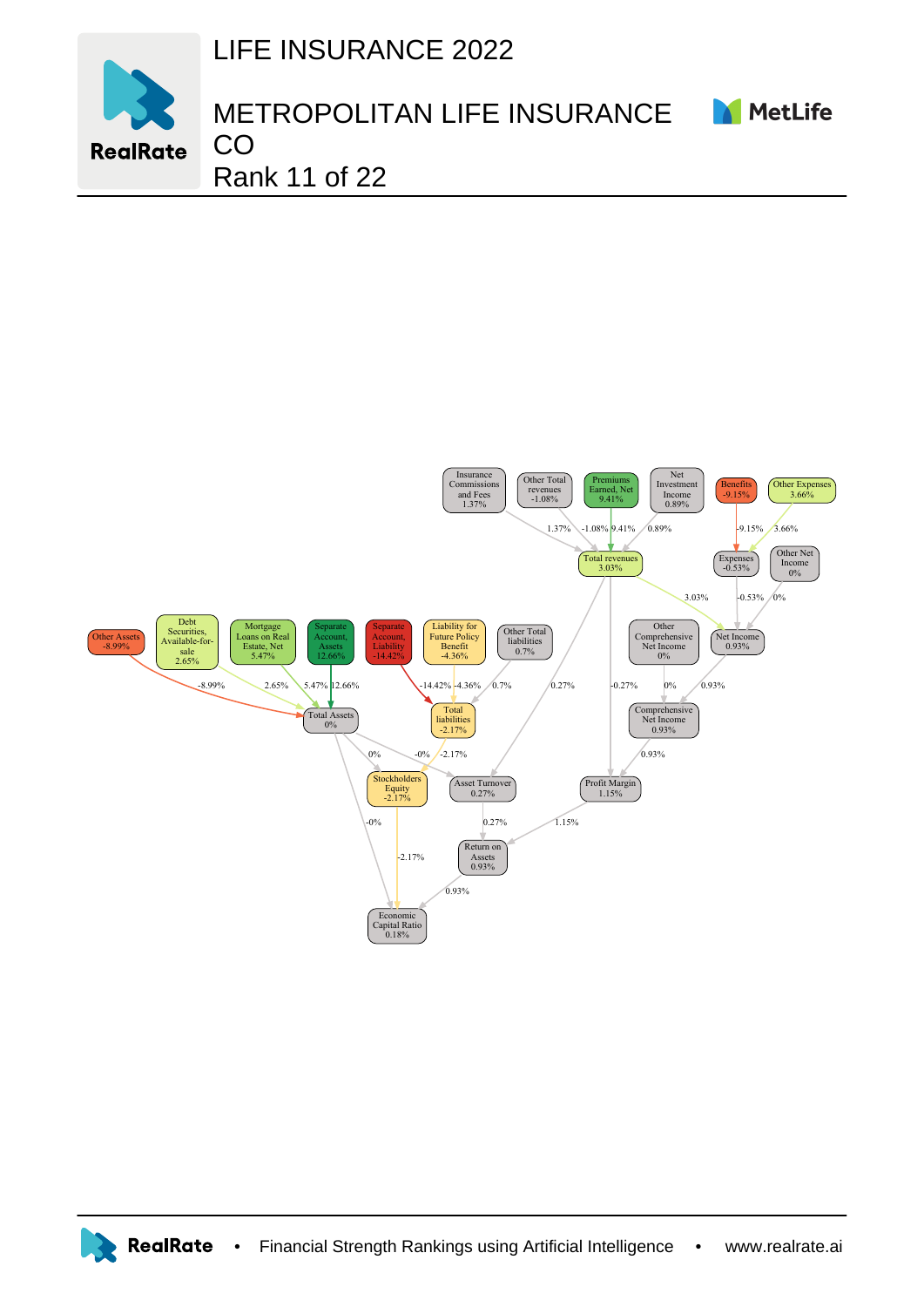